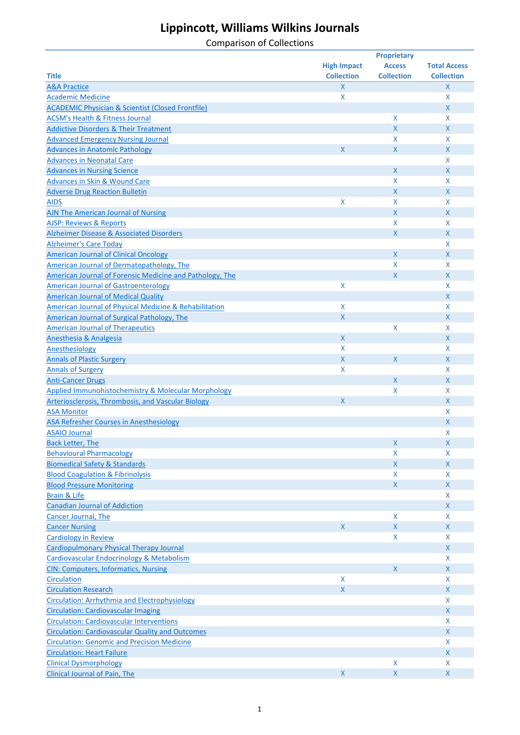|                                                                                 |                    | <b>Proprietary</b> |                     |
|---------------------------------------------------------------------------------|--------------------|--------------------|---------------------|
|                                                                                 | <b>High Impact</b> | <b>Access</b>      | <b>Total Access</b> |
| <b>Title</b>                                                                    | <b>Collection</b>  | <b>Collection</b>  | <b>Collection</b>   |
| <b>A&amp;A Practice</b>                                                         | $\mathsf{X}$       |                    | X                   |
| <b>Academic Medicine</b>                                                        | X                  |                    | X                   |
| <b>ACADEMIC Physician &amp; Scientist (Closed Frontfile)</b>                    |                    |                    | X                   |
| <b>ACSM's Health &amp; Fitness Journal</b>                                      |                    | X                  | X                   |
| <b>Addictive Disorders &amp; Their Treatment</b>                                |                    | X                  | X                   |
| <b>Advanced Emergency Nursing Journal</b>                                       |                    | X.                 | X                   |
| <b>Advances in Anatomic Pathology</b>                                           | X                  | $\mathsf{X}$       | X                   |
| <b>Advances in Neonatal Care</b>                                                |                    |                    | X                   |
| <b>Advances in Nursing Science</b>                                              |                    | X                  | X                   |
| <b>Advances in Skin &amp; Wound Care</b>                                        |                    | X                  | X                   |
| <b>Adverse Drug Reaction Bulletin</b>                                           |                    | X                  | X                   |
| <b>AIDS</b>                                                                     | X                  | X.                 | X                   |
| AJN The American Journal of Nursing                                             |                    | X                  | X                   |
| <b>AJSP: Reviews &amp; Reports</b>                                              |                    | X.                 | X                   |
| Alzheimer Disease & Associated Disorders                                        |                    | $\mathsf{X}$       | X                   |
| <b>Alzheimer's Care Today</b>                                                   |                    |                    | X                   |
| <b>American Journal of Clinical Oncology</b>                                    |                    | X                  | X                   |
| American Journal of Dermatopathology, The                                       |                    | X                  | X                   |
| American Journal of Forensic Medicine and Pathology, The                        |                    | $\mathsf{X}$       | X                   |
| <b>American Journal of Gastroenterology</b>                                     | X                  |                    | X                   |
| <b>American Journal of Medical Quality</b>                                      |                    |                    | $\mathsf{X}$        |
| <b>American Journal of Physical Medicine &amp; Rehabilitation</b>               | X                  |                    | X                   |
| American Journal of Surgical Pathology, The                                     | X                  |                    | $\mathsf{X}$        |
| <b>American Journal of Therapeutics</b>                                         |                    | X                  | X                   |
| Anesthesia & Analgesia                                                          | X                  |                    | $\mathsf{X}$        |
| Anesthesiology                                                                  | X                  |                    | X                   |
| <b>Annals of Plastic Surgery</b>                                                | X                  | $\mathsf{X}$       | $\mathsf{X}$        |
|                                                                                 | X                  |                    | X                   |
| <b>Annals of Surgery</b>                                                        |                    |                    | $\mathsf{X}$        |
| <b>Anti-Cancer Drugs</b><br>Applied Immunohistochemistry & Molecular Morphology |                    | X<br>X             | X                   |
|                                                                                 | X                  |                    | $\mathsf{X}$        |
| Arteriosclerosis, Thrombosis, and Vascular Biology                              |                    |                    |                     |
| <b>ASA Monitor</b>                                                              |                    |                    | X                   |
| <b>ASA Refresher Courses in Anesthesiology</b>                                  |                    |                    | X                   |
| <b>ASAIO Journal</b>                                                            |                    |                    | X                   |
| <b>Back Letter, The</b>                                                         |                    | Χ                  | Χ                   |
| <b>Behavioural Pharmacology</b>                                                 |                    | X                  | X                   |
| <b>Biomedical Safety &amp; Standards</b>                                        |                    | $\mathsf{X}$       | X                   |
| <b>Blood Coagulation &amp; Fibrinolysis</b>                                     |                    | X.                 | X                   |
| <b>Blood Pressure Monitoring</b>                                                |                    | $\mathsf{X}$       | X                   |
| <b>Brain &amp; Life</b>                                                         |                    |                    | X                   |
| <b>Canadian Journal of Addiction</b>                                            |                    |                    | X                   |
| <b>Cancer Journal, The</b>                                                      |                    | X                  | X                   |
| <b>Cancer Nursing</b>                                                           | X                  | $\mathsf{X}$       | X                   |
| <b>Cardiology in Review</b>                                                     |                    | X                  | X                   |
| <b>Cardiopulmonary Physical Therapy Journal</b>                                 |                    |                    | X                   |
| <b>Cardiovascular Endocrinology &amp; Metabolism</b>                            |                    |                    | X                   |
| <b>CIN: Computers, Informatics, Nursing</b>                                     |                    | X.                 | $\mathsf{X}$        |
| <b>Circulation</b>                                                              | X                  |                    | X                   |
| <b>Circulation Research</b>                                                     | $\mathsf{X}$       |                    | $\mathsf{X}$        |
| Circulation: Arrhythmia and Electrophysiology                                   |                    |                    | X                   |
| <b>Circulation: Cardiovascular Imaging</b>                                      |                    |                    | $\mathsf{X}$        |
| <b>Circulation: Cardiovascular Interventions</b>                                |                    |                    | X                   |
| <b>Circulation: Cardiovascular Quality and Outcomes</b>                         |                    |                    | $\mathsf{X}$        |
| <b>Circulation: Genomic and Precision Medicine</b>                              |                    |                    | X                   |
| <b>Circulation: Heart Failure</b>                                               |                    |                    | X                   |
| <b>Clinical Dysmorphology</b>                                                   |                    | X                  | X                   |
| <b>Clinical Journal of Pain, The</b>                                            | $\mathsf{X}$       | $\mathsf{X}$       | $\mathsf{X}$        |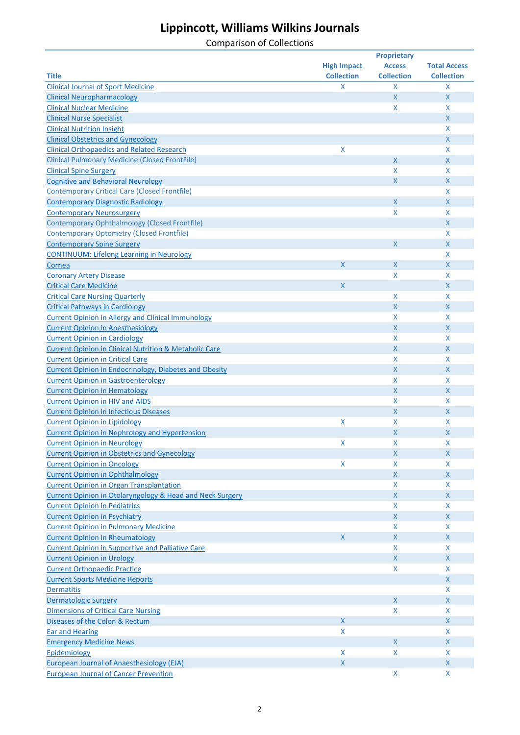|                                                                      | <b>Proprietary</b> |                           |                     |
|----------------------------------------------------------------------|--------------------|---------------------------|---------------------|
|                                                                      | <b>High Impact</b> | <b>Access</b>             | <b>Total Access</b> |
| <b>Title</b>                                                         | <b>Collection</b>  | <b>Collection</b>         | <b>Collection</b>   |
| <b>Clinical Journal of Sport Medicine</b>                            | X                  | X                         | X                   |
| <b>Clinical Neuropharmacology</b>                                    |                    | $\mathsf X$               | X                   |
| <b>Clinical Nuclear Medicine</b>                                     |                    | X                         | X                   |
| <b>Clinical Nurse Specialist</b>                                     |                    |                           | X                   |
| <b>Clinical Nutrition Insight</b>                                    |                    |                           | X                   |
| <b>Clinical Obstetrics and Gynecology</b>                            |                    |                           | X                   |
| <b>Clinical Orthopaedics and Related Research</b>                    | X                  |                           | X                   |
|                                                                      |                    | $\mathsf{X}$              | X                   |
| <b>Clinical Pulmonary Medicine (Closed FrontFile)</b>                |                    | X                         | X                   |
| <b>Clinical Spine Surgery</b>                                        |                    |                           |                     |
| <b>Cognitive and Behavioral Neurology</b>                            |                    | $\mathsf{X}$              | X                   |
| <b>Contemporary Critical Care (Closed Frontfile)</b>                 |                    |                           | X                   |
| <b>Contemporary Diagnostic Radiology</b>                             |                    | $\mathsf{X}$              | X                   |
| <b>Contemporary Neurosurgery</b>                                     |                    | X                         | X                   |
| <b>Contemporary Ophthalmology (Closed Frontfile)</b>                 |                    |                           | X                   |
| <b>Contemporary Optometry (Closed Frontfile)</b>                     |                    |                           | X                   |
| <b>Contemporary Spine Surgery</b>                                    |                    | $\mathsf{X}$              | X                   |
| <b>CONTINUUM: Lifelong Learning in Neurology</b>                     |                    |                           | X                   |
| Cornea                                                               | X                  | $\mathsf{X}$              | X                   |
| <b>Coronary Artery Disease</b>                                       |                    | X                         | X                   |
| <b>Critical Care Medicine</b>                                        | X                  |                           | X                   |
| <b>Critical Care Nursing Quarterly</b>                               |                    | $\boldsymbol{\mathsf{X}}$ | X                   |
| <b>Critical Pathways in Cardiology</b>                               |                    | $\mathsf X$               | X                   |
| <b>Current Opinion in Allergy and Clinical Immunology</b>            |                    | $\boldsymbol{\mathsf{X}}$ | X                   |
| <b>Current Opinion in Anesthesiology</b>                             |                    | $\boldsymbol{\mathsf{X}}$ | X                   |
| <b>Current Opinion in Cardiology</b>                                 |                    | X                         | X                   |
|                                                                      |                    |                           |                     |
| <b>Current Opinion in Clinical Nutrition &amp; Metabolic Care</b>    |                    | $\mathsf{X}$              | X                   |
| <b>Current Opinion in Critical Care</b>                              |                    | $\boldsymbol{\mathsf{X}}$ | X                   |
| Current Opinion in Endocrinology, Diabetes and Obesity               |                    | $\mathsf{X}$              | X                   |
| <b>Current Opinion in Gastroenterology</b>                           |                    | X                         | X                   |
| <b>Current Opinion in Hematology</b>                                 |                    | $\mathsf{X}$              | X                   |
| <b>Current Opinion in HIV and AIDS</b>                               |                    | X                         | X                   |
| <b>Current Opinion in Infectious Diseases</b>                        |                    | $\mathsf{X}$              | X                   |
| <b>Current Opinion in Lipidology</b>                                 | X                  | X                         | X                   |
| <b>Current Opinion in Nephrology and Hypertension</b>                |                    | $\mathsf{X}$              | X                   |
| <b>Current Opinion in Neurology</b>                                  | X                  | X                         | X                   |
| <b>Current Opinion in Obstetrics and Gynecology</b>                  |                    | X                         | X                   |
| <b>Current Opinion in Oncology</b>                                   | X                  | X                         | X                   |
| <b>Current Opinion in Ophthalmology</b>                              |                    | $\mathsf{X}$              | X                   |
| <b>Current Opinion in Organ Transplantation</b>                      |                    | X                         | X                   |
| <b>Current Opinion in Otolaryngology &amp; Head and Neck Surgery</b> |                    | $\mathsf{X}$              | X                   |
| <b>Current Opinion in Pediatrics</b>                                 |                    | X                         | X                   |
| <b>Current Opinion in Psychiatry</b>                                 |                    | $\mathsf{X}$              | X                   |
| <b>Current Opinion in Pulmonary Medicine</b>                         |                    | X                         | X                   |
|                                                                      | X                  | $\mathsf{X}$              | X                   |
| <b>Current Opinion in Rheumatology</b>                               |                    |                           |                     |
| <b>Current Opinion in Supportive and Palliative Care</b>             |                    | X                         | X                   |
| <b>Current Opinion in Urology</b>                                    |                    | $\mathsf{X}$              | X                   |
| <b>Current Orthopaedic Practice</b>                                  |                    | X                         | X                   |
| <b>Current Sports Medicine Reports</b>                               |                    |                           | X                   |
| <b>Dermatitis</b>                                                    |                    |                           | X                   |
| <b>Dermatologic Surgery</b>                                          |                    | $\mathsf{X}$              | X                   |
| <b>Dimensions of Critical Care Nursing</b>                           |                    | X                         | X                   |
| Diseases of the Colon & Rectum                                       | $\mathsf{X}$       |                           | X                   |
| <b>Ear and Hearing</b>                                               | X                  |                           | X                   |
| <b>Emergency Medicine News</b>                                       |                    | $\mathsf{X}$              | X                   |
| Epidemiology                                                         | X                  | X                         | X                   |
| <b>European Journal of Anaesthesiology (EJA)</b>                     | $\mathsf X$        |                           | X                   |
| <b>European Journal of Cancer Prevention</b>                         |                    | X                         | X                   |
|                                                                      |                    |                           |                     |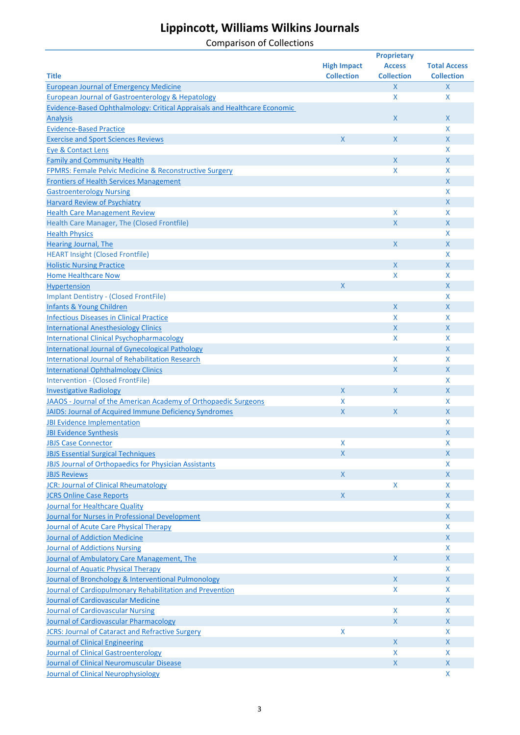|                                                                           |                    | <b>Proprietary</b> |                     |
|---------------------------------------------------------------------------|--------------------|--------------------|---------------------|
|                                                                           | <b>High Impact</b> | <b>Access</b>      | <b>Total Access</b> |
| <b>Title</b>                                                              | <b>Collection</b>  | <b>Collection</b>  | <b>Collection</b>   |
| <b>European Journal of Emergency Medicine</b>                             |                    | $\mathsf{X}$       | $\mathsf{X}$        |
| <b>European Journal of Gastroenterology &amp; Hepatology</b>              |                    | X                  | X                   |
| Evidence-Based Ophthalmology: Critical Appraisals and Healthcare Economic |                    |                    |                     |
| <b>Analysis</b>                                                           |                    | X                  | X                   |
| <b>Evidence-Based Practice</b>                                            |                    |                    | X                   |
| <b>Exercise and Sport Sciences Reviews</b>                                | X                  | $\mathsf{X}$       | $\mathsf{X}$        |
| Eye & Contact Lens                                                        |                    |                    | X                   |
| <b>Family and Community Health</b>                                        |                    | $\mathsf{X}$       | $\mathsf{X}$        |
| FPMRS: Female Pelvic Medicine & Reconstructive Surgery                    |                    | X                  | X                   |
| <b>Frontiers of Health Services Management</b>                            |                    |                    | $\mathsf{X}$        |
|                                                                           |                    |                    |                     |
| <b>Gastroenterology Nursing</b>                                           |                    |                    | X<br>$\mathsf{X}$   |
| <b>Harvard Review of Psychiatry</b>                                       |                    |                    |                     |
| <b>Health Care Management Review</b>                                      |                    | X                  | X                   |
| Health Care Manager, The (Closed Frontfile)                               |                    | $\mathsf{X}$       | $\mathsf{X}$        |
| <b>Health Physics</b>                                                     |                    |                    | X                   |
| Hearing Journal, The                                                      |                    | X                  | $\mathsf{X}$        |
| <b>HEART Insight (Closed Frontfile)</b>                                   |                    |                    | X                   |
| <b>Holistic Nursing Practice</b>                                          |                    | $\mathsf{X}$       | $\mathsf{X}$        |
| <b>Home Healthcare Now</b>                                                |                    | X                  | X                   |
| Hypertension                                                              | X                  |                    | $\mathsf{X}$        |
| <b>Implant Dentistry - (Closed FrontFile)</b>                             |                    |                    | X                   |
| <b>Infants &amp; Young Children</b>                                       |                    | $\mathsf{X}$       | $\mathsf{X}$        |
| <b>Infectious Diseases in Clinical Practice</b>                           |                    | X                  | X                   |
| <b>International Anesthesiology Clinics</b>                               |                    | $\mathsf{X}$       | $\mathsf{X}$        |
| <b>International Clinical Psychopharmacology</b>                          |                    | X                  | X                   |
| <b>International Journal of Gynecological Pathology</b>                   |                    |                    | $\mathsf{X}$        |
| <b>International Journal of Rehabilitation Research</b>                   |                    | X                  | X                   |
| <b>International Ophthalmology Clinics</b>                                |                    | $\mathsf X$        | $\mathsf{X}$        |
| Intervention - (Closed FrontFile)                                         |                    |                    | X                   |
| <b>Investigative Radiology</b>                                            | $\mathsf{X}$       | X                  | $\mathsf{X}$        |
| JAAOS - Journal of the American Academy of Orthopaedic Surgeons           | X                  |                    | X                   |
| JAIDS: Journal of Acquired Immune Deficiency Syndromes                    | X                  | X                  | $\mathsf{X}$        |
| <b>JBI Evidence Implementation</b>                                        |                    |                    | X                   |
| <b>JBI Evidence Synthesis</b>                                             |                    |                    | $\mathsf{X}$        |
| <b>JBJS Case Connector</b>                                                | X                  |                    | Χ                   |
| <b>JBJS Essential Surgical Techniques</b>                                 | X                  |                    | X                   |
|                                                                           |                    |                    |                     |
| JBJS Journal of Orthopaedics for Physician Assistants                     |                    |                    | X                   |
| <b>JBJS Reviews</b>                                                       | $\mathsf{X}$       |                    | $\mathsf{X}$        |
| <b>JCR: Journal of Clinical Rheumatology</b>                              |                    | $\mathsf{X}$       | X                   |
| <b>JCRS Online Case Reports</b>                                           | $\mathsf{X}$       |                    | $\mathsf{X}$        |
| Journal for Healthcare Quality                                            |                    |                    | X                   |
| Journal for Nurses in Professional Development                            |                    |                    | $\mathsf{X}$        |
| Journal of Acute Care Physical Therapy                                    |                    |                    | X                   |
| <b>Journal of Addiction Medicine</b>                                      |                    |                    | $\mathsf{X}$        |
| <b>Journal of Addictions Nursing</b>                                      |                    |                    | X                   |
| Journal of Ambulatory Care Management, The                                |                    | X.                 | $\mathsf{X}$        |
| Journal of Aquatic Physical Therapy                                       |                    |                    | X                   |
| Journal of Bronchology & Interventional Pulmonology                       |                    | X                  | X                   |
| Journal of Cardiopulmonary Rehabilitation and Prevention                  |                    | X                  | X                   |
| Journal of Cardiovascular Medicine                                        |                    |                    | X                   |
| Journal of Cardiovascular Nursing                                         |                    | X                  | X                   |
| Journal of Cardiovascular Pharmacology                                    |                    | $\mathsf{X}$       | X                   |
| <b>JCRS: Journal of Cataract and Refractive Surgery</b>                   | X                  |                    | X                   |
| Journal of Clinical Engineering                                           |                    | X                  | X                   |
| <b>Journal of Clinical Gastroenterology</b>                               |                    | X                  | X                   |
| Journal of Clinical Neuromuscular Disease                                 |                    | $\mathsf{X}$       | X                   |
| Journal of Clinical Neurophysiology                                       |                    |                    | X                   |
|                                                                           |                    |                    |                     |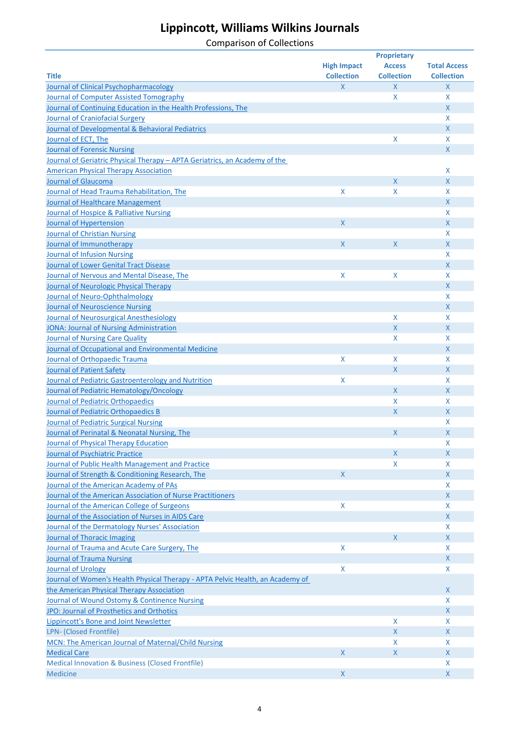|                                                                                |                    | <b>Proprietary</b> |                     |  |  |
|--------------------------------------------------------------------------------|--------------------|--------------------|---------------------|--|--|
|                                                                                | <b>High Impact</b> | <b>Access</b>      | <b>Total Access</b> |  |  |
| <b>Title</b>                                                                   | <b>Collection</b>  | <b>Collection</b>  | <b>Collection</b>   |  |  |
| Journal of Clinical Psychopharmacology                                         | $\mathsf{X}$       | $\mathsf{X}$       | $\mathsf{X}$        |  |  |
| Journal of Computer Assisted Tomography                                        |                    | X                  | X                   |  |  |
| Journal of Continuing Education in the Health Professions, The                 |                    |                    | $\mathsf{X}$        |  |  |
| <b>Journal of Craniofacial Surgery</b>                                         |                    |                    | X                   |  |  |
| Journal of Developmental & Behavioral Pediatrics                               |                    |                    | $\mathsf{X}$        |  |  |
| Journal of ECT, The                                                            |                    | X                  | X                   |  |  |
| <b>Journal of Forensic Nursing</b>                                             |                    |                    | $\mathsf{X}$        |  |  |
| Journal of Geriatric Physical Therapy - APTA Geriatrics, an Academy of the     |                    |                    |                     |  |  |
| <b>American Physical Therapy Association</b>                                   |                    |                    | X                   |  |  |
| <b>Journal of Glaucoma</b>                                                     |                    | X                  | $\mathsf{X}$        |  |  |
| Journal of Head Trauma Rehabilitation, The                                     | X                  | X                  | X                   |  |  |
| <b>Journal of Healthcare Management</b>                                        |                    |                    | $\mathsf{X}$        |  |  |
| Journal of Hospice & Palliative Nursing                                        |                    |                    | X                   |  |  |
| Journal of Hypertension                                                        | $\mathsf{X}$       |                    | $\mathsf{X}$        |  |  |
| <b>Journal of Christian Nursing</b>                                            |                    |                    | X                   |  |  |
| Journal of Immunotherapy                                                       | $\mathsf{X}$       | $\mathsf X$        | $\mathsf{X}$        |  |  |
| <b>Journal of Infusion Nursing</b>                                             |                    |                    | X                   |  |  |
| <b>Journal of Lower Genital Tract Disease</b>                                  |                    |                    | $\mathsf{X}$        |  |  |
| Journal of Nervous and Mental Disease, The                                     | X                  | X                  | X                   |  |  |
| Journal of Neurologic Physical Therapy                                         |                    |                    | $\mathsf{X}$        |  |  |
| Journal of Neuro-Ophthalmology                                                 |                    |                    | X                   |  |  |
| <b>Journal of Neuroscience Nursing</b>                                         |                    |                    | $\mathsf{X}$        |  |  |
| Journal of Neurosurgical Anesthesiology                                        |                    | X                  | X                   |  |  |
| <b>JONA: Journal of Nursing Administration</b>                                 |                    | $\mathsf X$        | $\mathsf{X}$        |  |  |
| <b>Journal of Nursing Care Quality</b>                                         |                    | X                  | X                   |  |  |
| Journal of Occupational and Environmental Medicine                             |                    |                    | $\mathsf{X}$        |  |  |
| Journal of Orthopaedic Trauma                                                  | X                  | X                  | X                   |  |  |
| Journal of Patient Safety                                                      |                    | $\mathsf X$        | $\mathsf{X}$        |  |  |
| Journal of Pediatric Gastroenterology and Nutrition                            | X                  |                    | X                   |  |  |
| Journal of Pediatric Hematology/Oncology                                       |                    | X                  | $\mathsf{X}$        |  |  |
| Journal of Pediatric Orthopaedics                                              |                    | X                  | X                   |  |  |
| Journal of Pediatric Orthopaedics B                                            |                    | $\mathsf{X}$       | X                   |  |  |
| Journal of Pediatric Surgical Nursing                                          |                    |                    | X                   |  |  |
| Journal of Perinatal & Neonatal Nursing, The                                   |                    | X                  | $\mathsf{X}$        |  |  |
| Journal of Physical Therapy Education                                          |                    |                    | Χ                   |  |  |
| Journal of Psychiatric Practice                                                |                    | $\mathsf{X}$       | X                   |  |  |
| Journal of Public Health Management and Practice                               |                    | X                  | X                   |  |  |
| Journal of Strength & Conditioning Research, The                               | $\mathsf{X}$       |                    | X                   |  |  |
| Journal of the American Academy of PAs                                         |                    |                    | X                   |  |  |
| Journal of the American Association of Nurse Practitioners                     |                    |                    | $\mathsf{X}$        |  |  |
| Journal of the American College of Surgeons                                    | $\pmb{\mathsf{X}}$ |                    | X                   |  |  |
| Journal of the Association of Nurses in AIDS Care                              |                    |                    | X                   |  |  |
| Journal of the Dermatology Nurses' Association                                 |                    |                    | X                   |  |  |
| Journal of Thoracic Imaging                                                    |                    | X                  | X                   |  |  |
| Journal of Trauma and Acute Care Surgery, The                                  | X                  |                    | X                   |  |  |
| <b>Journal of Trauma Nursing</b>                                               |                    |                    | X                   |  |  |
| Journal of Urology                                                             | X                  |                    | X                   |  |  |
| Journal of Women's Health Physical Therapy - APTA Pelvic Health, an Academy of |                    |                    |                     |  |  |
| the American Physical Therapy Association                                      |                    |                    | X                   |  |  |
| Journal of Wound Ostomy & Continence Nursing                                   |                    |                    | X                   |  |  |
| JPO: Journal of Prosthetics and Orthotics                                      |                    |                    | X                   |  |  |
| Lippincott's Bone and Joint Newsletter                                         |                    | X                  | X                   |  |  |
| LPN- (Closed Frontfile)                                                        |                    | $\mathsf{X}$       | X                   |  |  |
| MCN: The American Journal of Maternal/Child Nursing                            |                    | X                  | X                   |  |  |
| <b>Medical Care</b>                                                            | $\mathsf{X}$       | $\mathsf{X}$       | X                   |  |  |
| <b>Medical Innovation &amp; Business (Closed Frontfile)</b>                    |                    |                    | X                   |  |  |
| Medicine                                                                       | $\mathsf{X}$       |                    | X                   |  |  |
|                                                                                |                    |                    |                     |  |  |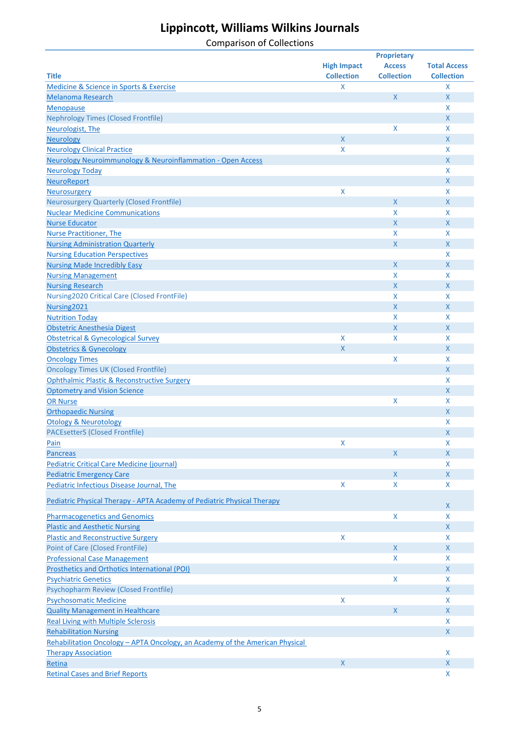|                                                                              |                    | <b>Proprietary</b> |                     |
|------------------------------------------------------------------------------|--------------------|--------------------|---------------------|
|                                                                              | <b>High Impact</b> | <b>Access</b>      | <b>Total Access</b> |
| <b>Title</b>                                                                 | <b>Collection</b>  | <b>Collection</b>  | <b>Collection</b>   |
| Medicine & Science in Sports & Exercise                                      | X                  |                    | X                   |
| <b>Melanoma Research</b>                                                     |                    | $\mathsf X$        | $\mathsf{X}$        |
| <b>Menopause</b>                                                             |                    |                    | X                   |
| <b>Nephrology Times (Closed Frontfile)</b>                                   |                    |                    | $\mathsf{X}$        |
| Neurologist, The                                                             |                    | X                  | X                   |
| <b>Neurology</b>                                                             | $\mathsf{X}$       |                    | $\mathsf{X}$        |
| <b>Neurology Clinical Practice</b>                                           | X                  |                    | X                   |
| Neurology Neuroimmunology & Neuroinflammation - Open Access                  |                    |                    | $\mathsf{X}$        |
| <b>Neurology Today</b>                                                       |                    |                    | X                   |
| <b>NeuroReport</b>                                                           |                    |                    | $\mathsf{X}$        |
| <b>Neurosurgery</b>                                                          | X                  |                    | X                   |
| <b>Neurosurgery Quarterly (Closed Frontfile)</b>                             |                    | X                  | $\mathsf{X}$        |
| <b>Nuclear Medicine Communications</b>                                       |                    | X                  | X                   |
| <b>Nurse Educator</b>                                                        |                    | X                  | $\mathsf{X}$        |
| <b>Nurse Practitioner, The</b>                                               |                    | X                  | X                   |
| <b>Nursing Administration Quarterly</b>                                      |                    | $\mathsf{X}$       | $\mathsf{X}$        |
| <b>Nursing Education Perspectives</b>                                        |                    |                    | X                   |
| <b>Nursing Made Incredibly Easy</b>                                          |                    | X                  | $\mathsf{X}$        |
| <b>Nursing Management</b>                                                    |                    | X                  | X                   |
| <b>Nursing Research</b>                                                      |                    | $\mathsf{X}$       | $\mathsf{X}$        |
| Nursing2020 Critical Care (Closed FrontFile)                                 |                    | X                  | X                   |
| Nursing2021                                                                  |                    | $\mathsf{X}$       | $\mathsf{X}$        |
| <b>Nutrition Today</b>                                                       |                    | X                  | X                   |
| Obstetric Anesthesia Digest                                                  |                    | $\mathsf{X}$       | $\mathsf{X}$        |
| <b>Obstetrical &amp; Gynecological Survey</b>                                | $\pmb{\mathsf{X}}$ | X                  | X                   |
| <b>Obstetrics &amp; Gynecology</b>                                           | $\mathsf X$        |                    | $\mathsf{X}$        |
| <b>Oncology Times</b>                                                        |                    | X                  | X                   |
| <b>Oncology Times UK (Closed Frontfile)</b>                                  |                    |                    | $\mathsf{X}$        |
| <b>Ophthalmic Plastic &amp; Reconstructive Surgery</b>                       |                    |                    | X                   |
| <b>Optometry and Vision Science</b>                                          |                    |                    | X                   |
| <b>OR Nurse</b>                                                              |                    | $\mathsf{X}$       | X                   |
| <b>Orthopaedic Nursing</b>                                                   |                    |                    | X                   |
| <b>Otology &amp; Neurotology</b>                                             |                    |                    | X                   |
| <b>PACEsetterS (Closed Frontfile)</b>                                        |                    |                    | $\mathsf{X}$        |
| Pain                                                                         | X                  |                    | X                   |
| <b>Pancreas</b>                                                              |                    | $\mathsf{X}$       | $\mathsf{X}$        |
| <b>Pediatric Critical Care Medicine (journal)</b>                            |                    |                    | X                   |
| <b>Pediatric Emergency Care</b>                                              |                    | X                  | $\mathsf{X}$        |
| Pediatric Infectious Disease Journal, The                                    | $\pmb{\mathsf{X}}$ | X                  | X                   |
|                                                                              |                    |                    |                     |
| Pediatric Physical Therapy - APTA Academy of Pediatric Physical Therapy      |                    |                    | X                   |
| <b>Pharmacogenetics and Genomics</b>                                         |                    | X                  | X                   |
| <b>Plastic and Aesthetic Nursing</b>                                         |                    |                    | $\mathsf{X}$        |
| <b>Plastic and Reconstructive Surgery</b>                                    | $\pmb{\mathsf{X}}$ |                    | X                   |
| <b>Point of Care (Closed FrontFile)</b>                                      |                    | $\mathsf{X}$       | $\mathsf{X}$        |
| <b>Professional Case Management</b>                                          |                    | X                  | X                   |
| <b>Prosthetics and Orthotics International (POI)</b>                         |                    |                    | X                   |
| <b>Psychiatric Genetics</b>                                                  |                    | X                  | X                   |
| Psychopharm Review (Closed Frontfile)                                        |                    |                    | $\mathsf{X}$        |
| <b>Psychosomatic Medicine</b>                                                | $\pmb{\mathsf{X}}$ |                    | X                   |
| <b>Quality Management in Healthcare</b>                                      |                    | $\mathsf{X}$       | $\mathsf{X}$        |
|                                                                              |                    |                    | X                   |
| <b>Real Living with Multiple Sclerosis</b><br><b>Rehabilitation Nursing</b>  |                    |                    | $\mathsf{X}$        |
| Rehabilitation Oncology - APTA Oncology, an Academy of the American Physical |                    |                    |                     |
| <b>Therapy Association</b>                                                   |                    |                    | X                   |
| Retina                                                                       | $\mathsf{X}$       |                    | $\mathsf{X}$        |
| <b>Retinal Cases and Brief Reports</b>                                       |                    |                    | $\pmb{\mathsf{X}}$  |
|                                                                              |                    |                    |                     |